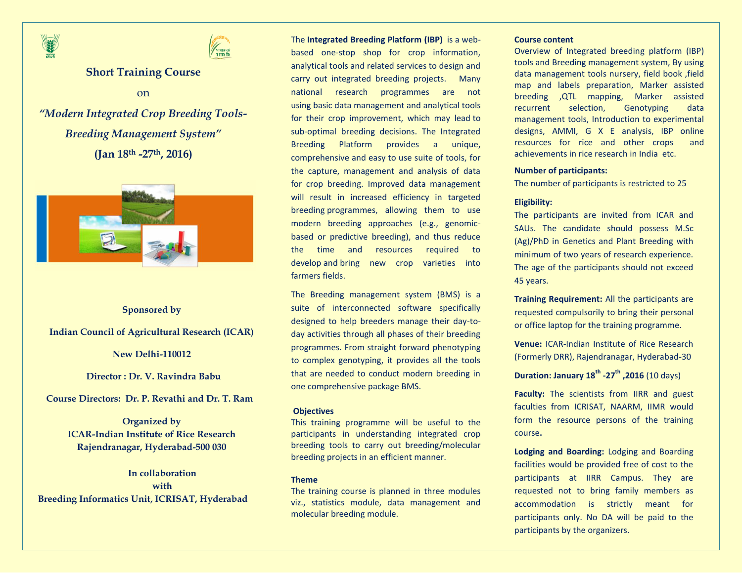



# **Short Training Course**

on

*"Modern Integrated Crop Breeding Tools-Breeding Management System"* **(Jan 18th -27th, 2016)**



# **Sponsored by**

**Indian Council of Agricultural Research (ICAR)**

**New Delhi-110012**

 **Director : Dr. V. Ravindra Babu**

**Course Directors: Dr. P. Revathi and Dr. T. Ram** 

**Organized by ICAR-Indian Institute of Rice Research Rajendranagar, Hyderabad-500 030**

**In collaboration with Breeding Informatics Unit, ICRISAT, Hyderabad** The **Integrated Breeding Platform [\(IBP\)](https://www.integratedbreeding.net/)** is a webbased one-stop shop for crop information, analytical tools and related services to design and carry out integrated breeding projects. Many national research programmes are not using basic data management and analytical tools for their crop improvement, which may lead to sub-optimal breeding decisions. The Integrated Breeding Platform provides a unique, comprehensive and easy to use suite of tools, for the capture, management and analysis of data for crop breeding. Improved data management will result in increased efficiency in targeted breeding programmes, allowing them to use modern breeding approaches (e.g., genomicbased or predictive breeding), and thus reduce the time and resources required to develop and bring new crop varieties into farmers fields.

The Breeding management system (BMS) is a suite of interconnected software specifically designed to help breeders manage their day-today activities through all phases of their breeding programmes. From straight forward phenotyping to complex genotyping, it provides all the tools that are needed to conduct modern breeding in one comprehensive package BMS.

### **Objectives**

This training programme will be useful to the participants in understanding integrated crop breeding tools to carry out breeding/molecular breeding projects in an efficient manner.

#### **Theme**

The training course is planned in three modules viz., statistics module, data management and molecular breeding module.

#### **Course content**

Overview of Integrated breeding platform (IBP) tools and Breeding management system, By using data management tools nursery, field book ,field map and labels preparation, Marker assisted breeding ,QTL mapping, Marker assisted recurrent selection, Genotyping data management tools, Introduction to experimental designs, AMMI, G X E analysis, IBP online resources for rice and other crops and achievements in rice research in India etc.

### **Number of participants:**

The number of participants is restricted to 25

# **Eligibility:**

The participants are invited from ICAR and SAUs. The candidate should possess M.Sc (Ag)/PhD in Genetics and Plant Breeding with minimum of two years of research experience. The age of the participants should not exceed 45 years.

**Training Requirement:** All the participants are requested compulsorily to bring their personal or office laptop for the training programme.

**Venue:** ICAR-Indian Institute of Rice Research (Formerly DRR), Rajendranagar, Hyderabad-30

**Duration: January 18th -27th ,2016** (10 days)

**Faculty:** The scientists from IIRR and guest faculties from ICRISAT, NAARM, IIMR would form the resource persons of the training course**.**

**Lodging and Boarding:** Lodging and Boarding facilities would be provided free of cost to the participants at IIRR Campus. They are requested not to bring family members as accommodation is strictly meant for participants only. No DA will be paid to the participants by the organizers.